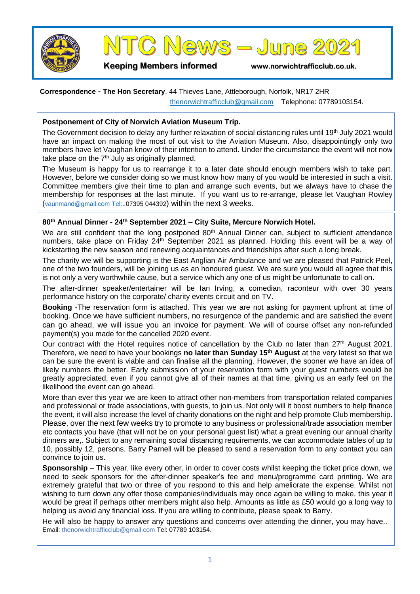



**Keeping Members informed www.norwichtrafficclub.co.uk.**

## **Correspondence - The Hon Secretary**, 44 Thieves Lane, Attleborough, Norfolk, NR17 2HR [thenorwichtrafficclub@gmail.com](mailto:thenorwichtrafficclub@gmail.com) Telephone: 07789103154.

**Postponement of City of Norwich Aviation Museum Trip.**

The Government decision to delay any further relaxation of social distancing rules until 19<sup>th</sup> July 2021 would have an impact on making the most of out visit to the Aviation Museum. Also, disappointingly only two members have let Vaughan know of their intention to attend. Under the circumstance the event will not now take place on the 7<sup>th</sup> July as originally planned.

The Museum is happy for us to rearrange it to a later date should enough members wish to take part. However, before we consider doing so we must know how many of you would be interested in such a visit. Committee members give their time to plan and arrange such events, but we always have to chase the membership for responses at the last minute. If you want us to re-arrange, please let Vaughan Rowley ([vaunmand@gmail.com](mailto:vaunmand@gmail.com) Tel:..07395 044392) within the next 3 weeks.

## **80th Annual Dinner - 24th September 2021 – City Suite, Mercure Norwich Hotel.**

We are still confident that the long postponed 80<sup>th</sup> Annual Dinner can, subject to sufficient attendance numbers, take place on Friday 24<sup>th</sup> September 2021 as planned. Holding this event will be a way of kickstarting the new season and renewing acquaintances and friendships after such a long break.

The charity we will be supporting is the East Anglian Air Ambulance and we are pleased that Patrick Peel, one of the two founders, will be joining us as an honoured guest. We are sure you would all agree that this is not only a very worthwhile cause, but a service which any one of us might be unfortunate to call on.

The after-dinner speaker/entertainer will be Ian Irving, a comedian, raconteur with over 30 years performance history on the corporate/ charity events circuit and on TV.

**Booking** -The reservation form is attached. This year we are not asking for payment upfront at time of booking. Once we have sufficient numbers, no resurgence of the pandemic and are satisfied the event can go ahead, we will issue you an invoice for payment. We will of course offset any non-refunded payment(s) you made for the cancelled 2020 event.

Our contract with the Hotel requires notice of cancellation by the Club no later than 27<sup>th</sup> August 2021. Therefore, we need to have your bookings **no later than Sunday 15th August** at the very latest so that we can be sure the event is viable and can finalise all the planning. However, the sooner we have an idea of likely numbers the better. Early submission of your reservation form with your guest numbers would be greatly appreciated, even if you cannot give all of their names at that time, giving us an early feel on the likelihood the event can go ahead.

More than ever this year we are keen to attract other non-members from transportation related companies and professional or trade associations, with guests, to join us. Not only will it boost numbers to help finance the event, it will also increase the level of charity donations on the night and help promote Club membership. Please, over the next few weeks try to promote to any business or professional/trade association member etc contacts you have (that will not be on your personal guest list) what a great evening our annual charity dinners are,. Subject to any remaining social distancing requirements, we can accommodate tables of up to 10, possibly 12, persons. Barry Parnell will be pleased to send a reservation form to any contact you can convince to join us.

**Sponsorship** – This year, like every other, in order to cover costs whilst keeping the ticket price down, we need to seek sponsors for the after-dinner speaker's fee and menu/programme card printing. We are extremely grateful that two or three of you respond to this and help ameliorate the expense. Whilst not wishing to turn down any offer those companies/individuals may once again be willing to make, this year it would be great if perhaps other members might also help. Amounts as little as £50 would go a long way to helping us avoid any financial loss. If you are willing to contribute, please speak to Barry.

He will also be happy to answer any questions and concerns over attending the dinner, you may have.. Email: thenorwichtrafficclub@gmail.com Tel: 07789 103154.